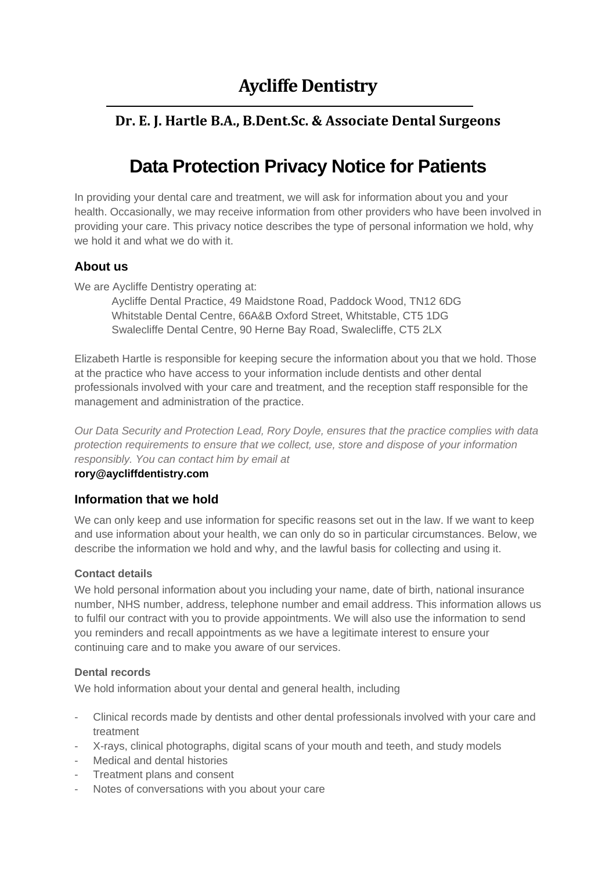## **Dr. E. J. Hartle B.A., B.Dent.Sc. & Associate Dental Surgeons**

# **Data Protection Privacy Notice for Patients**

In providing your dental care and treatment, we will ask for information about you and your health. Occasionally, we may receive information from other providers who have been involved in providing your care. This privacy notice describes the type of personal information we hold, why we hold it and what we do with it.

## **About us**

We are Aycliffe Dentistry operating at:

Aycliffe Dental Practice, 49 Maidstone Road, Paddock Wood, TN12 6DG Whitstable Dental Centre, 66A&B Oxford Street, Whitstable, CT5 1DG Swalecliffe Dental Centre, 90 Herne Bay Road, Swalecliffe, CT5 2LX

Elizabeth Hartle is responsible for keeping secure the information about you that we hold. Those at the practice who have access to your information include dentists and other dental professionals involved with your care and treatment, and the reception staff responsible for the management and administration of the practice.

*Our Data Security and Protection Lead, Rory Doyle, ensures that the practice complies with data protection requirements to ensure that we collect, use, store and dispose of your information responsibly. You can contact him by email at*

#### **rory@aycliffdentistry.com**

## **Information that we hold**

We can only keep and use information for specific reasons set out in the law. If we want to keep and use information about your health, we can only do so in particular circumstances. Below, we describe the information we hold and why, and the lawful basis for collecting and using it.

#### **Contact details**

We hold personal information about you including your name, date of birth, national insurance number, NHS number, address, telephone number and email address. This information allows us to fulfil our contract with you to provide appointments. We will also use the information to send you reminders and recall appointments as we have a legitimate interest to ensure your continuing care and to make you aware of our services.

#### **Dental records**

We hold information about your dental and general health, including

- Clinical records made by dentists and other dental professionals involved with your care and treatment
- X-rays, clinical photographs, digital scans of your mouth and teeth, and study models
- Medical and dental histories
- Treatment plans and consent
- Notes of conversations with you about your care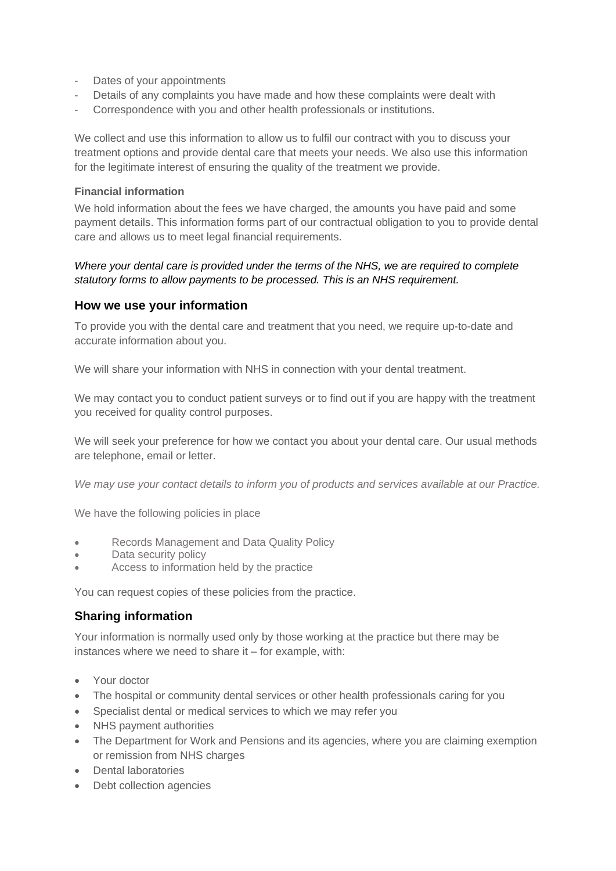- Dates of your appointments
- Details of any complaints you have made and how these complaints were dealt with
- Correspondence with you and other health professionals or institutions.

We collect and use this information to allow us to fulfil our contract with you to discuss your treatment options and provide dental care that meets your needs. We also use this information for the legitimate interest of ensuring the quality of the treatment we provide.

#### **Financial information**

We hold information about the fees we have charged, the amounts you have paid and some payment details. This information forms part of our contractual obligation to you to provide dental care and allows us to meet legal financial requirements.

#### *Where your dental care is provided under the terms of the NHS, we are required to complete statutory forms to allow payments to be processed. This is an NHS requirement.*

#### **How we use your information**

To provide you with the dental care and treatment that you need, we require up-to-date and accurate information about you.

We will share your information with NHS in connection with your dental treatment.

We may contact you to conduct patient surveys or to find out if you are happy with the treatment you received for quality control purposes.

We will seek your preference for how we contact you about your dental care. Our usual methods are telephone, email or letter.

*We may use your contact details to inform you of products and services available at our Practice.* 

We have the following policies in place

- Records Management and Data Quality Policy
- Data security policy
- Access to information held by the practice

You can request copies of these policies from the practice.

#### **Sharing information**

Your information is normally used only by those working at the practice but there may be instances where we need to share it – for example, with:

- Your doctor
- The hospital or community dental services or other health professionals caring for you
- Specialist dental or medical services to which we may refer you
- NHS payment authorities
- The Department for Work and Pensions and its agencies, where you are claiming exemption or remission from NHS charges
- Dental laboratories
- Debt collection agencies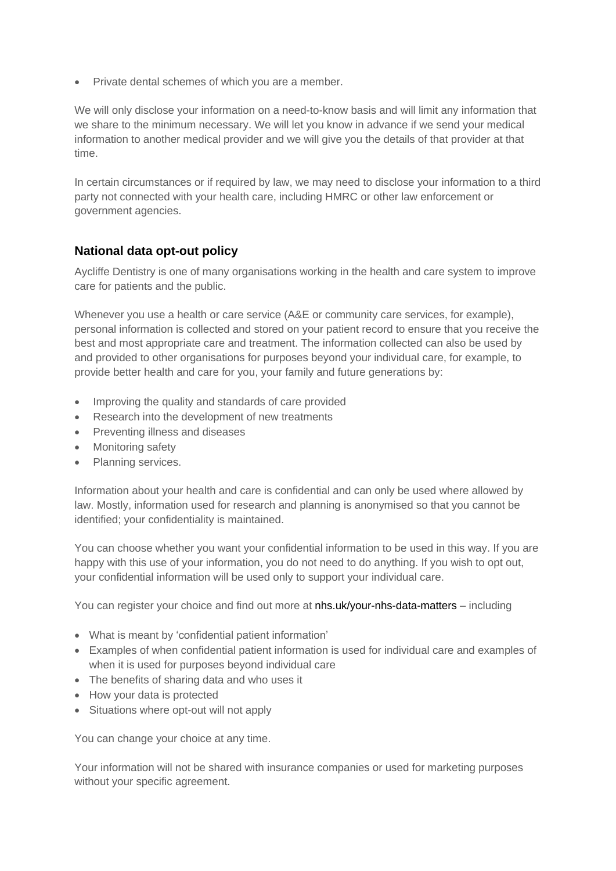• Private dental schemes of which you are a member.

We will only disclose your information on a need-to-know basis and will limit any information that we share to the minimum necessary. We will let you know in advance if we send your medical information to another medical provider and we will give you the details of that provider at that time.

In certain circumstances or if required by law, we may need to disclose your information to a third party not connected with your health care, including HMRC or other law enforcement or government agencies.

## **National data opt-out policy**

Aycliffe Dentistry is one of many organisations working in the health and care system to improve care for patients and the public.

Whenever you use a health or care service (A&E or community care services, for example), personal information is collected and stored on your patient record to ensure that you receive the best and most appropriate care and treatment. The information collected can also be used by and provided to other organisations for purposes beyond your individual care, for example, to provide better health and care for you, your family and future generations by:

- Improving the quality and standards of care provided
- Research into the development of new treatments
- Preventing illness and diseases
- Monitoring safety
- Planning services.

Information about your health and care is confidential and can only be used where allowed by law. Mostly, information used for research and planning is anonymised so that you cannot be identified; your confidentiality is maintained.

You can choose whether you want your confidential information to be used in this way. If you are happy with this use of your information, you do not need to do anything. If you wish to opt out, your confidential information will be used only to support your individual care.

You can register your choice and find out more at nhs.uk/your-nhs-data-matters – including

- What is meant by 'confidential patient information'
- Examples of when confidential patient information is used for individual care and examples of when it is used for purposes beyond individual care
- The benefits of sharing data and who uses it
- How your data is protected
- Situations where opt-out will not apply

You can change your choice at any time.

Your information will not be shared with insurance companies or used for marketing purposes without your specific agreement.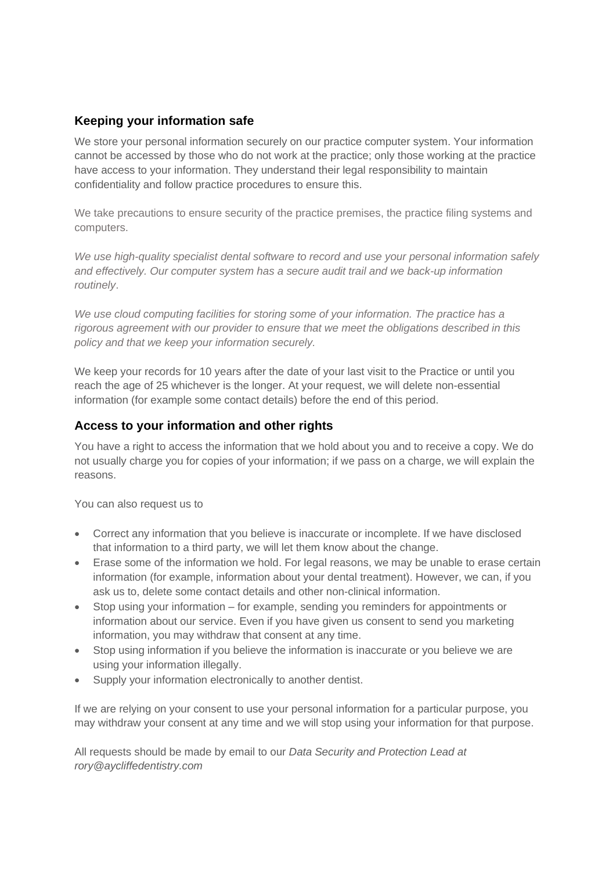## **Keeping your information safe**

We store your personal information securely on our practice computer system. Your information cannot be accessed by those who do not work at the practice; only those working at the practice have access to your information. They understand their legal responsibility to maintain confidentiality and follow practice procedures to ensure this.

We take precautions to ensure security of the practice premises, the practice filing systems and computers.

*We use high-quality specialist dental software to record and use your personal information safely and effectively. Our computer system has a secure audit trail and we back-up information routinely*.

*We use cloud computing facilities for storing some of your information. The practice has a rigorous agreement with our provider to ensure that we meet the obligations described in this policy and that we keep your information securely.*

We keep your records for 10 years after the date of your last visit to the Practice or until you reach the age of 25 whichever is the longer. At your request, we will delete non-essential information (for example some contact details) before the end of this period.

## **Access to your information and other rights**

You have a right to access the information that we hold about you and to receive a copy. We do not usually charge you for copies of your information; if we pass on a charge, we will explain the reasons.

You can also request us to

- Correct any information that you believe is inaccurate or incomplete. If we have disclosed that information to a third party, we will let them know about the change.
- Erase some of the information we hold. For legal reasons, we may be unable to erase certain information (for example, information about your dental treatment). However, we can, if you ask us to, delete some contact details and other non-clinical information.
- Stop using your information for example, sending you reminders for appointments or information about our service. Even if you have given us consent to send you marketing information, you may withdraw that consent at any time.
- Stop using information if you believe the information is inaccurate or you believe we are using your information illegally.
- Supply your information electronically to another dentist.

If we are relying on your consent to use your personal information for a particular purpose, you may withdraw your consent at any time and we will stop using your information for that purpose.

All requests should be made by email to our *Data Security and Protection Lead at rory@aycliffedentistry.com*